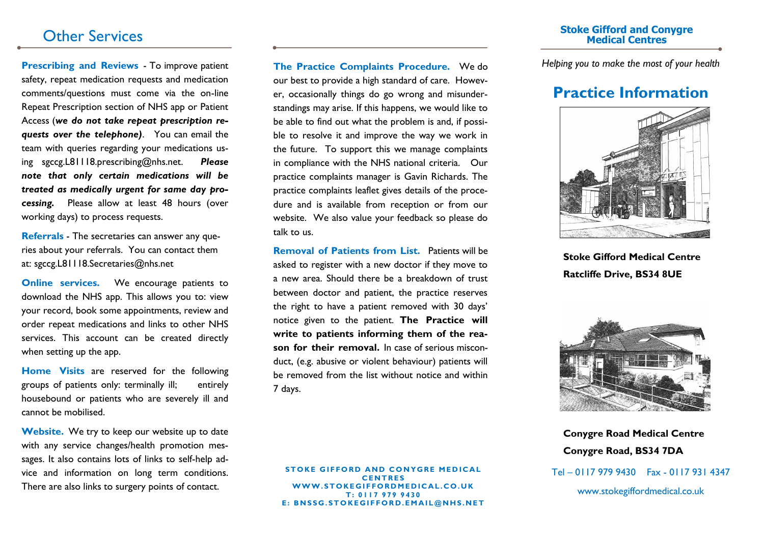**Prescribing and Reviews** - To improve patient safety, repeat medication requests and medication comments/questions must come via the on-line Repeat Prescription section of NHS app or Patient Access (*we do not take repeat prescription requests over the telephone)*. You can email the team with queries regarding your medications using sgccg.L81118.prescribing@nhs.net. *Please note that only certain medications will be treated as medically urgent for same day processing.* Please allow at least 48 hours (over working days) to process requests.

**Referrals** - The secretaries can answer any queries about your referrals. You can contact them at: sgccg.L81118.Secretaries@nhs.net

**Online services.** We encourage patients to download the NHS app. This allows you to: view your record, book some appointments, review and order repeat medications and links to other NHS services. This account can be created directly when setting up the app.

**Home Visits** are reserved for the following groups of patients only: terminally ill; entirely housebound or patients who are severely ill and cannot be mobilised.

**Website.** We try to keep our website up to date with any service changes/health promotion messages. It also contains lots of links to self-help advice and information on long term conditions. There are also links to surgery points of contact.

**The Practice Complaints Procedure.** We do our best to provide a high standard of care. However, occasionally things do go wrong and misunderstandings may arise. If this happens, we would like to be able to find out what the problem is and, if possible to resolve it and improve the way we work in the future. To support this we manage complaints in compliance with the NHS national criteria. Our practice complaints manager is Gavin Richards. The practice complaints leaflet gives details of the procedure and is available from reception or from our website. We also value your feedback so please do talk to us.

**Removal of Patients from List.** Patients will be asked to register with a new doctor if they move to a new area. Should there be a breakdown of trust between doctor and patient, the practice reserves the right to have a patient removed with 30 days' notice given to the patient. **The Practice will write to patients informing them of the reason for their removal.** In case of serious misconduct, (e.g. abusive or violent behaviour) patients will be removed from the list without notice and within 7 days.

**STOKE GIFFORD AND CONYGRE MEDICAL C E N T R E S W W W . S T O K E G I F F O R D M E D I C A L . C O . U K T : 0 1 1 7 9 7 9 9 4 3 0 E : B N S S G . S T O K E G I F F O R D . E M A I L @ N H S . N E T**

### Other Services **Stoke Gifford and Conygre Medical Centres**

*Helping you to make the most of your health*

## **Practice Information**



**Stoke Gifford Medical Centre Ratcliffe Drive, BS34 8UE**



**Conygre Road Medical Centre Conygre Road, BS34 7DA**

Tel – 0117 979 9430 Fax - 0117 931 4347

www.stokegiffordmedical.co.uk